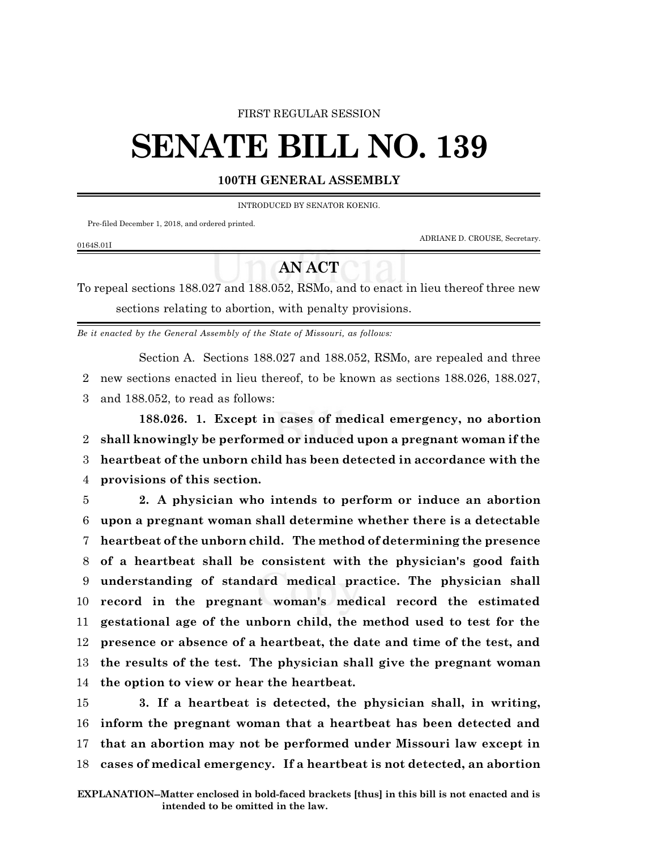#### FIRST REGULAR SESSION

# **SENATE BILL NO. 139**

### **100TH GENERAL ASSEMBLY**

INTRODUCED BY SENATOR KOENIG.

Pre-filed December 1, 2018, and ordered printed.

ADRIANE D. CROUSE, Secretary.

## 0164S.01I

## **AN ACT**

To repeal sections 188.027 and 188.052, RSMo, and to enact in lieu thereof three new sections relating to abortion, with penalty provisions.

*Be it enacted by the General Assembly of the State of Missouri, as follows:*

Section A. Sections 188.027 and 188.052, RSMo, are repealed and three

2 new sections enacted in lieu thereof, to be known as sections 188.026, 188.027,

3 and 188.052, to read as follows:

**188.026. 1. Except in cases of medical emergency, no abortion shall knowingly be performed or induced upon a pregnant woman if the heartbeat of the unborn child has been detected in accordance with the provisions of this section.**

 **2. A physician who intends to perform or induce an abortion upon a pregnant woman shall determine whether there is a detectable heartbeat of the unborn child. The method of determining the presence of a heartbeat shall be consistent with the physician's good faith understanding of standard medical practice. The physician shall record in the pregnant woman's medical record the estimated gestational age of the unborn child, the method used to test for the presence or absence of a heartbeat, the date and time of the test, and the results of the test. The physician shall give the pregnant woman the option to view or hear the heartbeat.**

 **3. If a heartbeat is detected, the physician shall, in writing, inform the pregnant woman that a heartbeat has been detected and that an abortion may not be performed under Missouri law except in cases of medical emergency. If a heartbeat is not detected, an abortion**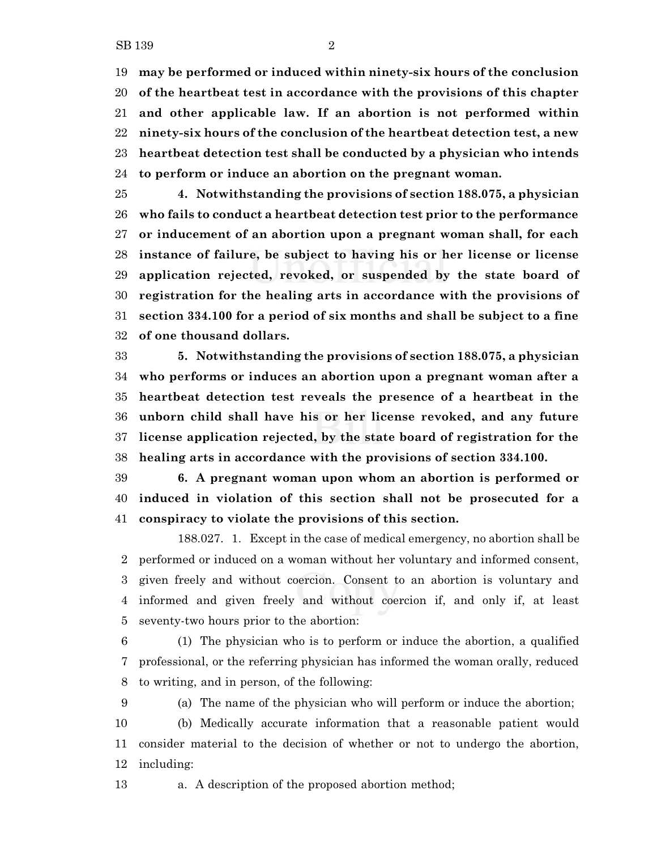**may be performed or induced within ninety-six hours of the conclusion of the heartbeat test in accordance with the provisions of this chapter and other applicable law. If an abortion is not performed within ninety-six hours of the conclusion of the heartbeat detection test, a new heartbeat detection test shall be conducted by a physician who intends to perform or induce an abortion on the pregnant woman.**

 **4. Notwithstanding the provisions of section 188.075, a physician who fails to conduct a heartbeat detection test prior to the performance or inducement of an abortion upon a pregnant woman shall, for each instance of failure, be subject to having his or her license or license application rejected, revoked, or suspended by the state board of registration for the healing arts in accordance with the provisions of section 334.100 for a period of six months and shall be subject to a fine of one thousand dollars.**

 **5. Notwithstanding the provisions of section 188.075, a physician who performs or induces an abortion upon a pregnant woman after a heartbeat detection test reveals the presence of a heartbeat in the unborn child shall have his or her license revoked, and any future license application rejected, by the state board of registration for the healing arts in accordance with the provisions of section 334.100.**

 **6. A pregnant woman upon whom an abortion is performed or induced in violation of this section shall not be prosecuted for a conspiracy to violate the provisions of this section.**

188.027. 1. Except in the case of medical emergency, no abortion shall be performed or induced on a woman without her voluntary and informed consent, given freely and without coercion. Consent to an abortion is voluntary and informed and given freely and without coercion if, and only if, at least seventy-two hours prior to the abortion:

 (1) The physician who is to perform or induce the abortion, a qualified professional, or the referring physician has informed the woman orally, reduced to writing, and in person, of the following:

(a) The name of the physician who will perform or induce the abortion;

 (b) Medically accurate information that a reasonable patient would consider material to the decision of whether or not to undergo the abortion, including:

a. A description of the proposed abortion method;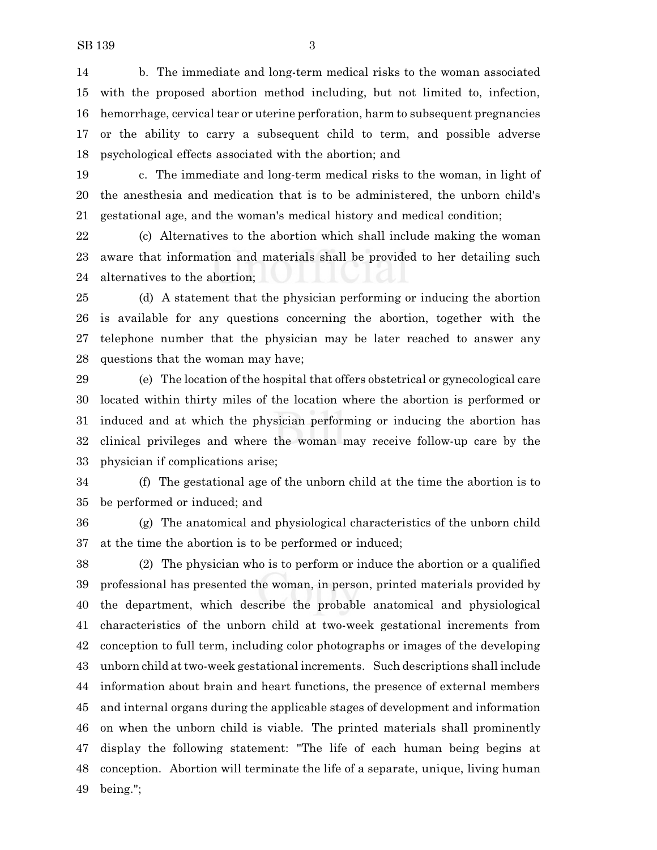b. The immediate and long-term medical risks to the woman associated with the proposed abortion method including, but not limited to, infection, hemorrhage, cervical tear or uterine perforation, harm to subsequent pregnancies or the ability to carry a subsequent child to term, and possible adverse psychological effects associated with the abortion; and

 c. The immediate and long-term medical risks to the woman, in light of the anesthesia and medication that is to be administered, the unborn child's gestational age, and the woman's medical history and medical condition;

 (c) Alternatives to the abortion which shall include making the woman aware that information and materials shall be provided to her detailing such alternatives to the abortion;

 (d) A statement that the physician performing or inducing the abortion is available for any questions concerning the abortion, together with the telephone number that the physician may be later reached to answer any questions that the woman may have;

 (e) The location of the hospital that offers obstetrical or gynecological care located within thirty miles of the location where the abortion is performed or induced and at which the physician performing or inducing the abortion has clinical privileges and where the woman may receive follow-up care by the physician if complications arise;

 (f) The gestational age of the unborn child at the time the abortion is to be performed or induced; and

 (g) The anatomical and physiological characteristics of the unborn child at the time the abortion is to be performed or induced;

 (2) The physician who is to perform or induce the abortion or a qualified professional has presented the woman, in person, printed materials provided by the department, which describe the probable anatomical and physiological characteristics of the unborn child at two-week gestational increments from conception to full term, including color photographs or images of the developing unborn child at two-week gestational increments. Such descriptions shall include information about brain and heart functions, the presence of external members and internal organs during the applicable stages of development and information on when the unborn child is viable. The printed materials shall prominently display the following statement: "The life of each human being begins at conception. Abortion will terminate the life of a separate, unique, living human being.";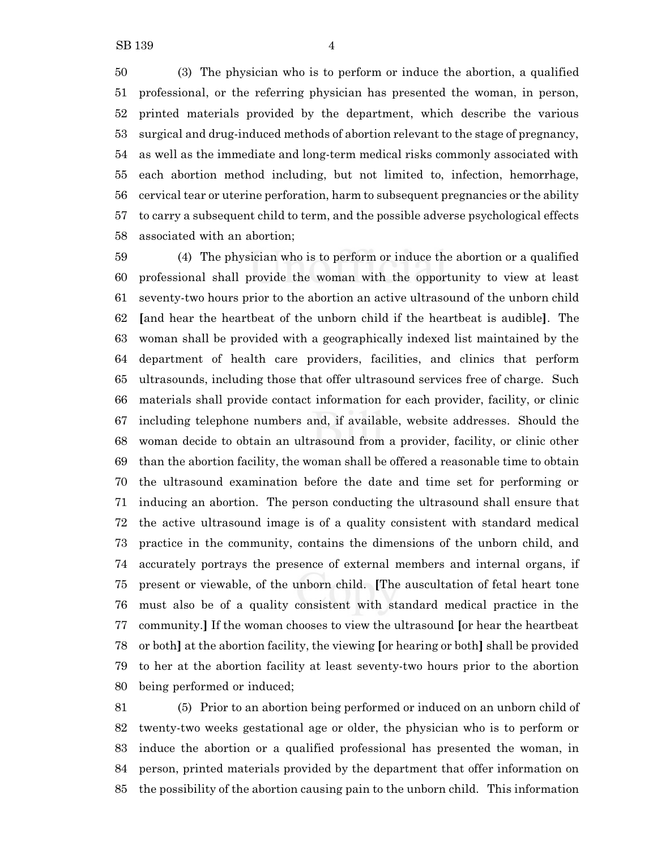(3) The physician who is to perform or induce the abortion, a qualified professional, or the referring physician has presented the woman, in person, printed materials provided by the department, which describe the various surgical and drug-induced methods of abortion relevant to the stage of pregnancy, as well as the immediate and long-term medical risks commonly associated with each abortion method including, but not limited to, infection, hemorrhage, cervical tear or uterine perforation, harm to subsequent pregnancies or the ability to carry a subsequent child to term, and the possible adverse psychological effects associated with an abortion;

 (4) The physician who is to perform or induce the abortion or a qualified professional shall provide the woman with the opportunity to view at least seventy-two hours prior to the abortion an active ultrasound of the unborn child **[**and hear the heartbeat of the unborn child if the heartbeat is audible**]**. The woman shall be provided with a geographically indexed list maintained by the department of health care providers, facilities, and clinics that perform ultrasounds, including those that offer ultrasound services free of charge. Such materials shall provide contact information for each provider, facility, or clinic including telephone numbers and, if available, website addresses. Should the woman decide to obtain an ultrasound from a provider, facility, or clinic other than the abortion facility, the woman shall be offered a reasonable time to obtain the ultrasound examination before the date and time set for performing or inducing an abortion. The person conducting the ultrasound shall ensure that the active ultrasound image is of a quality consistent with standard medical practice in the community, contains the dimensions of the unborn child, and accurately portrays the presence of external members and internal organs, if present or viewable, of the unborn child. **[**The auscultation of fetal heart tone must also be of a quality consistent with standard medical practice in the community.**]** If the woman chooses to view the ultrasound **[**or hear the heartbeat or both**]** at the abortion facility, the viewing **[**or hearing or both**]** shall be provided to her at the abortion facility at least seventy-two hours prior to the abortion being performed or induced;

 (5) Prior to an abortion being performed or induced on an unborn child of twenty-two weeks gestational age or older, the physician who is to perform or induce the abortion or a qualified professional has presented the woman, in person, printed materials provided by the department that offer information on the possibility of the abortion causing pain to the unborn child. This information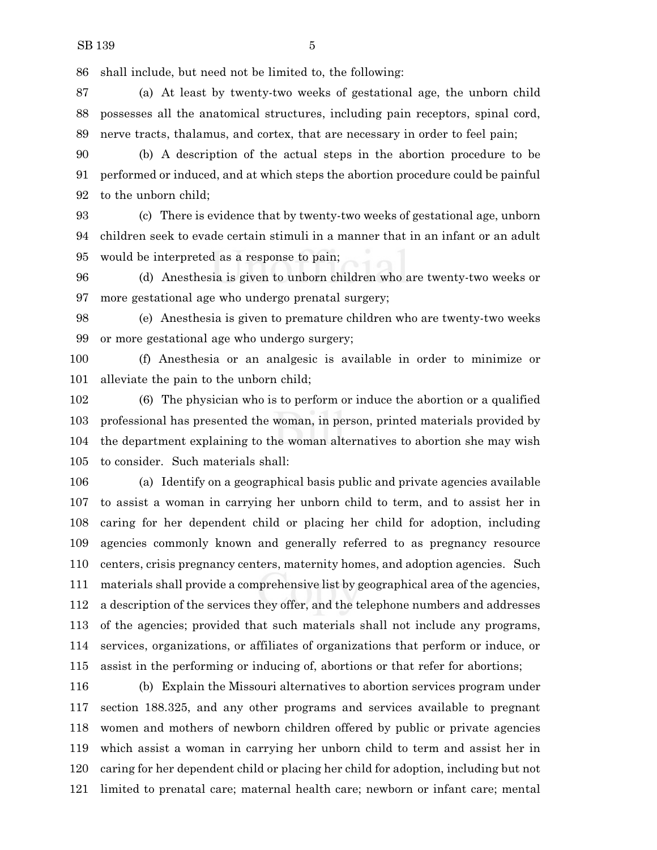shall include, but need not be limited to, the following:

 (a) At least by twenty-two weeks of gestational age, the unborn child possesses all the anatomical structures, including pain receptors, spinal cord, nerve tracts, thalamus, and cortex, that are necessary in order to feel pain;

 (b) A description of the actual steps in the abortion procedure to be performed or induced, and at which steps the abortion procedure could be painful to the unborn child;

 (c) There is evidence that by twenty-two weeks of gestational age, unborn children seek to evade certain stimuli in a manner that in an infant or an adult would be interpreted as a response to pain;

 (d) Anesthesia is given to unborn children who are twenty-two weeks or more gestational age who undergo prenatal surgery;

 (e) Anesthesia is given to premature children who are twenty-two weeks or more gestational age who undergo surgery;

 (f) Anesthesia or an analgesic is available in order to minimize or alleviate the pain to the unborn child;

 (6) The physician who is to perform or induce the abortion or a qualified professional has presented the woman, in person, printed materials provided by the department explaining to the woman alternatives to abortion she may wish to consider. Such materials shall:

 (a) Identify on a geographical basis public and private agencies available to assist a woman in carrying her unborn child to term, and to assist her in caring for her dependent child or placing her child for adoption, including agencies commonly known and generally referred to as pregnancy resource centers, crisis pregnancy centers, maternity homes, and adoption agencies. Such materials shall provide a comprehensive list by geographical area of the agencies, a description of the services they offer, and the telephone numbers and addresses of the agencies; provided that such materials shall not include any programs, services, organizations, or affiliates of organizations that perform or induce, or assist in the performing or inducing of, abortions or that refer for abortions;

 (b) Explain the Missouri alternatives to abortion services program under section 188.325, and any other programs and services available to pregnant women and mothers of newborn children offered by public or private agencies which assist a woman in carrying her unborn child to term and assist her in caring for her dependent child or placing her child for adoption, including but not limited to prenatal care; maternal health care; newborn or infant care; mental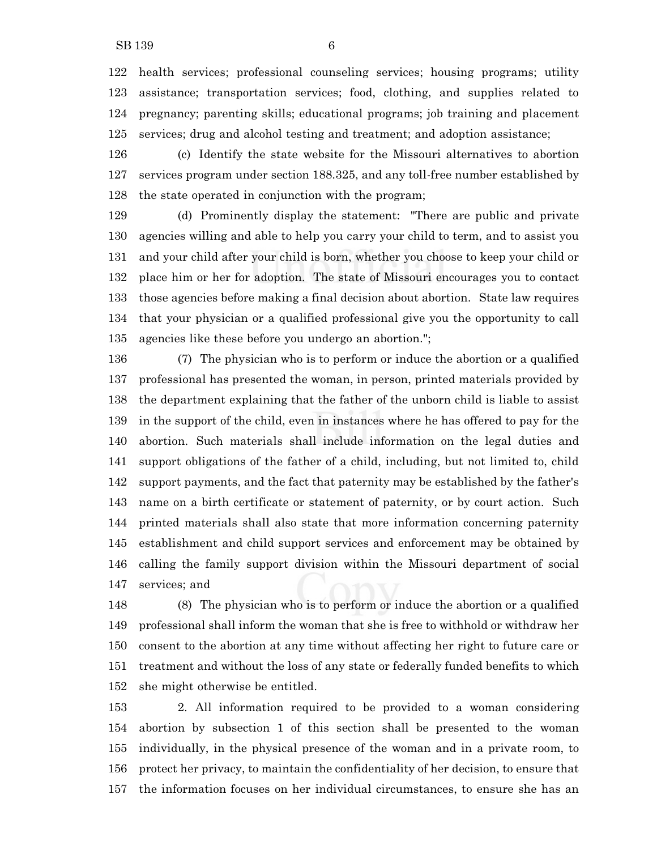health services; professional counseling services; housing programs; utility assistance; transportation services; food, clothing, and supplies related to pregnancy; parenting skills; educational programs; job training and placement services; drug and alcohol testing and treatment; and adoption assistance;

 (c) Identify the state website for the Missouri alternatives to abortion services program under section 188.325, and any toll-free number established by the state operated in conjunction with the program;

 (d) Prominently display the statement: "There are public and private agencies willing and able to help you carry your child to term, and to assist you and your child after your child is born, whether you choose to keep your child or place him or her for adoption. The state of Missouri encourages you to contact those agencies before making a final decision about abortion. State law requires that your physician or a qualified professional give you the opportunity to call agencies like these before you undergo an abortion.";

 (7) The physician who is to perform or induce the abortion or a qualified professional has presented the woman, in person, printed materials provided by the department explaining that the father of the unborn child is liable to assist in the support of the child, even in instances where he has offered to pay for the abortion. Such materials shall include information on the legal duties and support obligations of the father of a child, including, but not limited to, child support payments, and the fact that paternity may be established by the father's name on a birth certificate or statement of paternity, or by court action. Such printed materials shall also state that more information concerning paternity establishment and child support services and enforcement may be obtained by calling the family support division within the Missouri department of social services; and

 (8) The physician who is to perform or induce the abortion or a qualified professional shall inform the woman that she is free to withhold or withdraw her consent to the abortion at any time without affecting her right to future care or treatment and without the loss of any state or federally funded benefits to which she might otherwise be entitled.

 2. All information required to be provided to a woman considering abortion by subsection 1 of this section shall be presented to the woman individually, in the physical presence of the woman and in a private room, to protect her privacy, to maintain the confidentiality of her decision, to ensure that the information focuses on her individual circumstances, to ensure she has an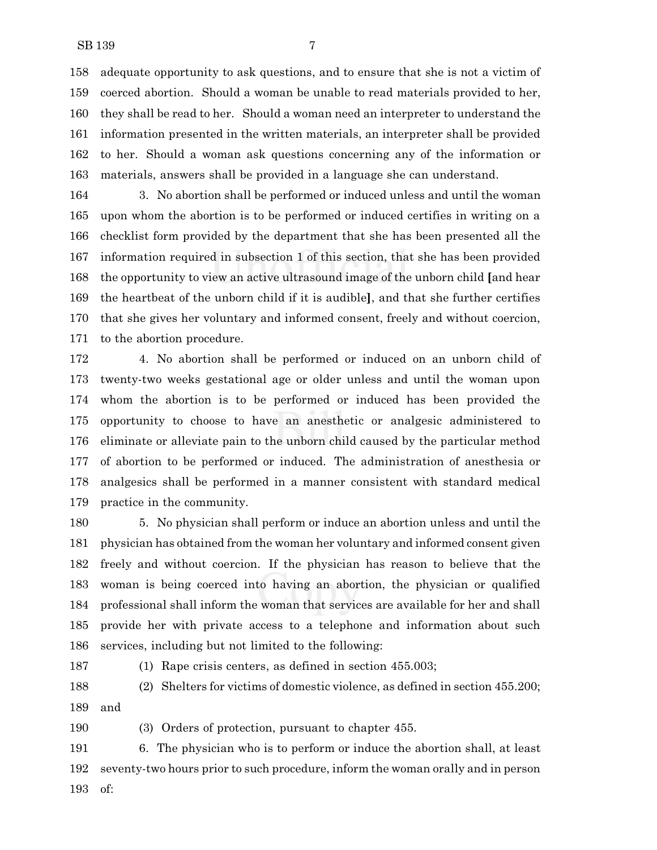adequate opportunity to ask questions, and to ensure that she is not a victim of coerced abortion. Should a woman be unable to read materials provided to her, they shall be read to her. Should a woman need an interpreter to understand the information presented in the written materials, an interpreter shall be provided to her. Should a woman ask questions concerning any of the information or materials, answers shall be provided in a language she can understand.

 3. No abortion shall be performed or induced unless and until the woman upon whom the abortion is to be performed or induced certifies in writing on a checklist form provided by the department that she has been presented all the information required in subsection 1 of this section, that she has been provided the opportunity to view an active ultrasound image of the unborn child **[**and hear the heartbeat of the unborn child if it is audible**]**, and that she further certifies that she gives her voluntary and informed consent, freely and without coercion, to the abortion procedure.

 4. No abortion shall be performed or induced on an unborn child of twenty-two weeks gestational age or older unless and until the woman upon whom the abortion is to be performed or induced has been provided the opportunity to choose to have an anesthetic or analgesic administered to eliminate or alleviate pain to the unborn child caused by the particular method of abortion to be performed or induced. The administration of anesthesia or analgesics shall be performed in a manner consistent with standard medical practice in the community.

 5. No physician shall perform or induce an abortion unless and until the physician has obtained from the woman her voluntary and informed consent given freely and without coercion. If the physician has reason to believe that the woman is being coerced into having an abortion, the physician or qualified professional shall inform the woman that services are available for her and shall provide her with private access to a telephone and information about such services, including but not limited to the following:

(1) Rape crisis centers, as defined in section 455.003;

 (2) Shelters for victims of domestic violence, as defined in section 455.200; and

(3) Orders of protection, pursuant to chapter 455.

 6. The physician who is to perform or induce the abortion shall, at least seventy-two hours prior to such procedure, inform the woman orally and in person of: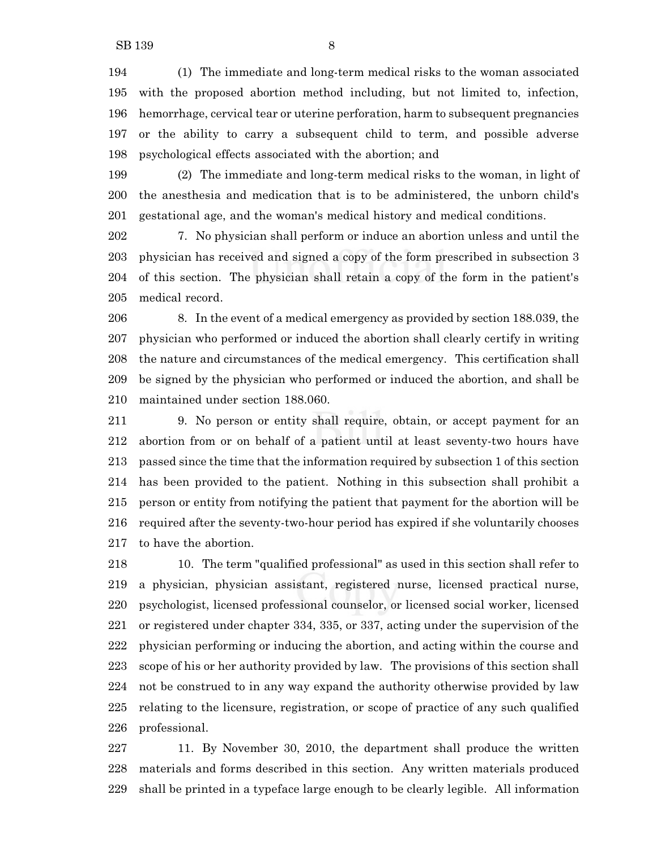(1) The immediate and long-term medical risks to the woman associated with the proposed abortion method including, but not limited to, infection, hemorrhage, cervical tear or uterine perforation, harm to subsequent pregnancies or the ability to carry a subsequent child to term, and possible adverse psychological effects associated with the abortion; and

 (2) The immediate and long-term medical risks to the woman, in light of the anesthesia and medication that is to be administered, the unborn child's gestational age, and the woman's medical history and medical conditions.

 7. No physician shall perform or induce an abortion unless and until the physician has received and signed a copy of the form prescribed in subsection 3 of this section. The physician shall retain a copy of the form in the patient's medical record.

 8. In the event of a medical emergency as provided by section 188.039, the physician who performed or induced the abortion shall clearly certify in writing the nature and circumstances of the medical emergency. This certification shall be signed by the physician who performed or induced the abortion, and shall be maintained under section 188.060.

 9. No person or entity shall require, obtain, or accept payment for an abortion from or on behalf of a patient until at least seventy-two hours have passed since the time that the information required by subsection 1 of this section has been provided to the patient. Nothing in this subsection shall prohibit a person or entity from notifying the patient that payment for the abortion will be required after the seventy-two-hour period has expired if she voluntarily chooses to have the abortion.

 10. The term "qualified professional" as used in this section shall refer to a physician, physician assistant, registered nurse, licensed practical nurse, psychologist, licensed professional counselor, or licensed social worker, licensed or registered under chapter 334, 335, or 337, acting under the supervision of the physician performing or inducing the abortion, and acting within the course and scope of his or her authority provided by law. The provisions of this section shall not be construed to in any way expand the authority otherwise provided by law relating to the licensure, registration, or scope of practice of any such qualified professional.

 11. By November 30, 2010, the department shall produce the written materials and forms described in this section. Any written materials produced shall be printed in a typeface large enough to be clearly legible. All information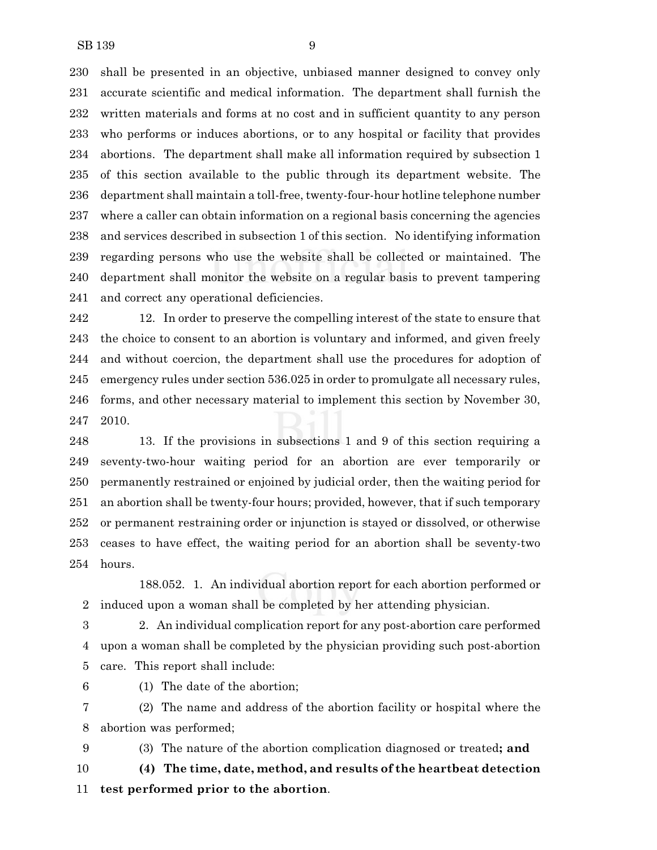shall be presented in an objective, unbiased manner designed to convey only accurate scientific and medical information. The department shall furnish the written materials and forms at no cost and in sufficient quantity to any person who performs or induces abortions, or to any hospital or facility that provides abortions. The department shall make all information required by subsection 1 of this section available to the public through its department website. The department shall maintain a toll-free, twenty-four-hour hotline telephone number where a caller can obtain information on a regional basis concerning the agencies and services described in subsection 1 of this section. No identifying information regarding persons who use the website shall be collected or maintained. The department shall monitor the website on a regular basis to prevent tampering and correct any operational deficiencies.

 12. In order to preserve the compelling interest of the state to ensure that the choice to consent to an abortion is voluntary and informed, and given freely and without coercion, the department shall use the procedures for adoption of emergency rules under section 536.025 in order to promulgate all necessary rules, forms, and other necessary material to implement this section by November 30, 2010.

 13. If the provisions in subsections 1 and 9 of this section requiring a seventy-two-hour waiting period for an abortion are ever temporarily or permanently restrained or enjoined by judicial order, then the waiting period for an abortion shall be twenty-four hours; provided, however, that if such temporary or permanent restraining order or injunction is stayed or dissolved, or otherwise ceases to have effect, the waiting period for an abortion shall be seventy-two hours.

188.052. 1. An individual abortion report for each abortion performed or induced upon a woman shall be completed by her attending physician.

 2. An individual complication report for any post-abortion care performed upon a woman shall be completed by the physician providing such post-abortion care. This report shall include:

(1) The date of the abortion;

 (2) The name and address of the abortion facility or hospital where the abortion was performed;

(3) The nature of the abortion complication diagnosed or treated**; and**

 **(4) The time, date, method, and results of the heartbeat detection test performed prior to the abortion**.